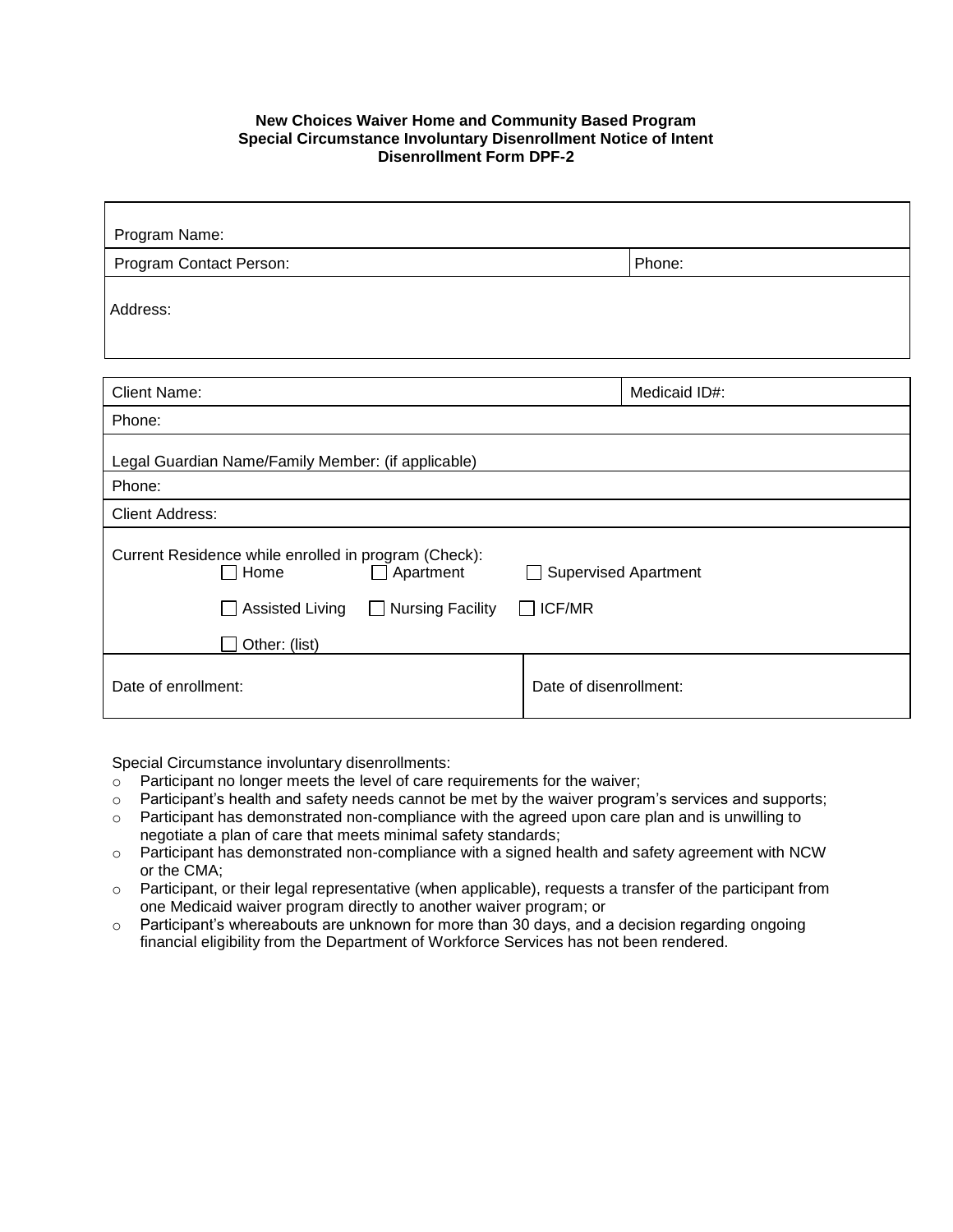## **New Choices Waiver Home and Community Based Program Special Circumstance Involuntary Disenrollment Notice of Intent Disenrollment Form DPF-2**

| Program Name:                                                                                                                            |                                                       |  |
|------------------------------------------------------------------------------------------------------------------------------------------|-------------------------------------------------------|--|
| Program Contact Person:                                                                                                                  | Phone:                                                |  |
| Address:                                                                                                                                 |                                                       |  |
| <b>Client Name:</b>                                                                                                                      | Medicaid ID#:                                         |  |
| Phone:                                                                                                                                   |                                                       |  |
| Legal Guardian Name/Family Member: (if applicable)                                                                                       |                                                       |  |
| Phone:                                                                                                                                   |                                                       |  |
| <b>Client Address:</b>                                                                                                                   |                                                       |  |
| Current Residence while enrolled in program (Check):<br>Home<br>Apartment<br><b>Assisted Living</b><br><b>Nursing Facility</b><br>$\Box$ | <b>Supervised Apartment</b><br>ICF/MR<br>$\mathsf{L}$ |  |
|                                                                                                                                          |                                                       |  |
| Other: (list)                                                                                                                            |                                                       |  |
| Date of enrollment:                                                                                                                      | Date of disenrollment:                                |  |

Special Circumstance involuntary disenrollments:

- $\circ$  Participant no longer meets the level of care requirements for the waiver;
- $\circ$  Participant's health and safety needs cannot be met by the waiver program's services and supports;
- $\circ$  Participant has demonstrated non-compliance with the agreed upon care plan and is unwilling to negotiate a plan of care that meets minimal safety standards;
- o Participant has demonstrated non-compliance with a signed health and safety agreement with NCW or the CMA;
- o Participant, or their legal representative (when applicable), requests a transfer of the participant from one Medicaid waiver program directly to another waiver program; or
- o Participant's whereabouts are unknown for more than 30 days, and a decision regarding ongoing financial eligibility from the Department of Workforce Services has not been rendered.